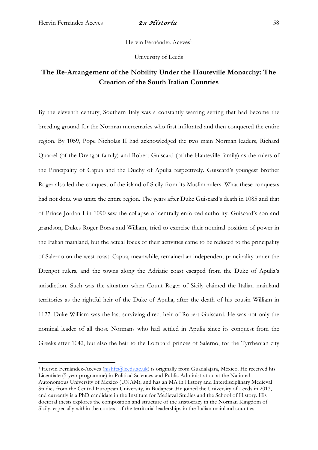Hervin Fernández Aceves<sup>1</sup>

University of Leeds

# **The Re-Arrangement of the Nobility Under the Hauteville Monarchy: The Creation of the South Italian Counties**

By the eleventh century, Southern Italy was a constantly warring setting that had become the breeding ground for the Norman mercenaries who first infiltrated and then conquered the entire region. By 1059, Pope Nicholas II had acknowledged the two main Norman leaders, Richard Quarrel (of the Drengot family) and Robert Guiscard (of the Hauteville family) as the rulers of the Principality of Capua and the Duchy of Apulia respectively. Guiscard's youngest brother Roger also led the conquest of the island of Sicily from its Muslim rulers. What these conquests had not done was unite the entire region. The years after Duke Guiscard's death in 1085 and that of Prince Jordan I in 1090 saw the collapse of centrally enforced authority. Guiscard's son and grandson, Dukes Roger Borsa and William, tried to exercise their nominal position of power in the Italian mainland, but the actual focus of their activities came to be reduced to the principality of Salerno on the west coast. Capua, meanwhile, remained an independent principality under the Drengot rulers, and the towns along the Adriatic coast escaped from the Duke of Apulia's jurisdiction. Such was the situation when Count Roger of Sicily claimed the Italian mainland territories as the rightful heir of the Duke of Apulia, after the death of his cousin William in 1127. Duke William was the last surviving direct heir of Robert Guiscard. He was not only the nominal leader of all those Normans who had settled in Apulia since its conquest from the Greeks after 1042, but also the heir to the Lombard princes of Salerno, for the Tyrrhenian city

<sup>&</sup>lt;sup>1</sup> Hervin Fernández-Aceves (hishfe@leeds.ac.uk) is originally from Guadalajara, México. He received his Licentiate (5-year programme) in Political Sciences and Public Administration at the National Autonomous University of Mexico (UNAM), and has an MA in History and Interdisciplinary Medieval Studies from the Central European University, in Budapest. He joined the University of Leeds in 2013, and currently is a PhD candidate in the Institute for Medieval Studies and the School of History. His doctoral thesis explores the composition and structure of the aristocracy in the Norman Kingdom of Sicily, especially within the context of the territorial leaderships in the Italian mainland counties.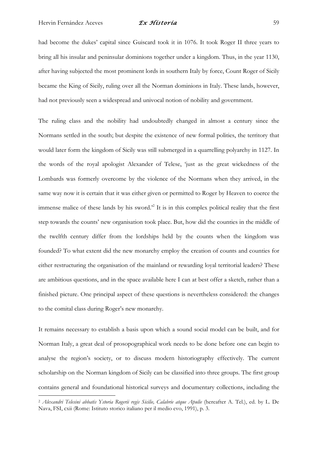Hervin Fernández Aceves *Ex Historia* 59

 

had become the dukes' capital since Guiscard took it in 1076. It took Roger II three years to bring all his insular and peninsular dominions together under a kingdom. Thus, in the year 1130, after having subjected the most prominent lords in southern Italy by force, Count Roger of Sicily became the King of Sicily, ruling over all the Norman dominions in Italy. These lands, however, had not previously seen a widespread and univocal notion of nobility and government.

The ruling class and the nobility had undoubtedly changed in almost a century since the Normans settled in the south; but despite the existence of new formal polities, the territory that would later form the kingdom of Sicily was still submerged in a quarrelling polyarchy in 1127. In the words of the royal apologist Alexander of Telese, 'just as the great wickedness of the Lombards was formerly overcome by the violence of the Normans when they arrived, in the same way now it is certain that it was either given or permitted to Roger by Heaven to coerce the immense malice of these lands by his sword.<sup>22</sup> It is in this complex political reality that the first step towards the counts' new organisation took place. But, how did the counties in the middle of the twelfth century differ from the lordships held by the counts when the kingdom was founded? To what extent did the new monarchy employ the creation of counts and counties for either restructuring the organisation of the mainland or rewarding loyal territorial leaders? These are ambitious questions, and in the space available here I can at best offer a sketch, rather than a finished picture. One principal aspect of these questions is nevertheless considered: the changes to the comital class during Roger's new monarchy.

It remains necessary to establish a basis upon which a sound social model can be built, and for Norman Italy, a great deal of prosopographical work needs to be done before one can begin to analyse the region's society, or to discuss modern historiography effectively. The current scholarship on the Norman kingdom of Sicily can be classified into three groups. The first group contains general and foundational historical surveys and documentary collections, including the

<sup>2</sup> *Alexandri Telesini abbatis Ystoria Rogerii regis Sicilie, Calabrie atque Apulie* (hereafter A. Tel.), ed. by L. De Nava, FSI, cxii (Rome: Istituto storico italiano per il medio evo, 1991), p. 3.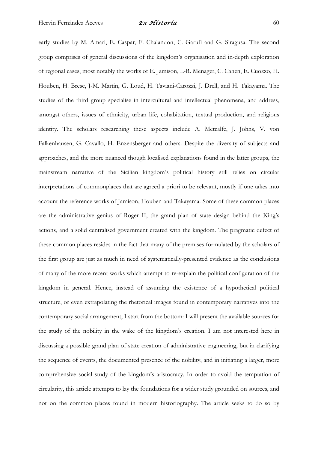early studies by M. Amari, E. Caspar, F. Chalandon, C. Garufi and G. Siragusa. The second group comprises of general discussions of the kingdom's organisation and in-depth exploration of regional cases, most notably the works of E. Jamison, L-R. Menager, C. Cahen, E. Cuozzo, H. Houben, H. Bresc, J-M. Martin, G. Loud, H. Taviani-Carozzi, J. Drell, and H. Takayama. The studies of the third group specialise in intercultural and intellectual phenomena, and address, amongst others, issues of ethnicity, urban life, cohabitation, textual production, and religious identity. The scholars researching these aspects include A. Metcalfe, J. Johns, V. von Falkenhausen, G. Cavallo, H. Enzensberger and others. Despite the diversity of subjects and approaches, and the more nuanced though localised explanations found in the latter groups, the mainstream narrative of the Sicilian kingdom's political history still relies on circular interpretations of commonplaces that are agreed a priori to be relevant, mostly if one takes into account the reference works of Jamison, Houben and Takayama. Some of these common places are the administrative genius of Roger II, the grand plan of state design behind the King's actions, and a solid centralised government created with the kingdom. The pragmatic defect of these common places resides in the fact that many of the premises formulated by the scholars of the first group are just as much in need of systematically-presented evidence as the conclusions of many of the more recent works which attempt to re-explain the political configuration of the kingdom in general. Hence, instead of assuming the existence of a hypothetical political structure, or even extrapolating the rhetorical images found in contemporary narratives into the contemporary social arrangement, I start from the bottom: I will present the available sources for the study of the nobility in the wake of the kingdom's creation. I am not interested here in discussing a possible grand plan of state creation of administrative engineering, but in clarifying the sequence of events, the documented presence of the nobility, and in initiating a larger, more comprehensive social study of the kingdom's aristocracy. In order to avoid the temptation of circularity, this article attempts to lay the foundations for a wider study grounded on sources, and not on the common places found in modern historiography. The article seeks to do so by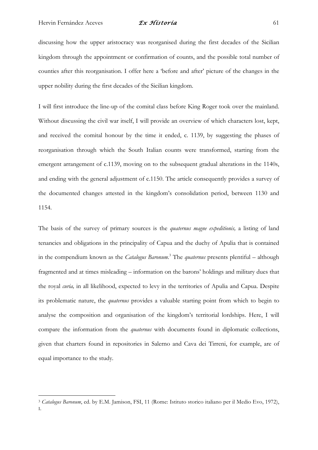discussing how the upper aristocracy was reorganised during the first decades of the Sicilian kingdom through the appointment or confirmation of counts, and the possible total number of counties after this reorganisation. I offer here a 'before and after' picture of the changes in the upper nobility during the first decades of the Sicilian kingdom.

I will first introduce the line-up of the comital class before King Roger took over the mainland. Without discussing the civil war itself, I will provide an overview of which characters lost, kept, and received the comital honour by the time it ended, c. 1139, by suggesting the phases of reorganisation through which the South Italian counts were transformed, starting from the emergent arrangement of c.1139, moving on to the subsequent gradual alterations in the 1140s, and ending with the general adjustment of c.1150. The article consequently provides a survey of the documented changes attested in the kingdom's consolidation period, between 1130 and 1154.

The basis of the survey of primary sources is the *quaternus magne expeditionis,* a listing of land tenancies and obligations in the principality of Capua and the duchy of Apulia that is contained in the compendium known as the *Catalogus Baronum.*<sup>3</sup> The *quaternus* presents plentiful – although fragmented and at times misleading – information on the barons' holdings and military dues that the royal *curia,* in all likelihood, expected to levy in the territories of Apulia and Capua. Despite its problematic nature, the *quaternus* provides a valuable starting point from which to begin to analyse the composition and organisation of the kingdom's territorial lordships. Here, I will compare the information from the *quaternus* with documents found in diplomatic collections, given that charters found in repositories in Salerno and Cava dei Tirreni, for example, are of equal importance to the study*.*

<sup>3</sup> *Catalogus Baronum*, ed. by E.M. Jamison, FSI, 11 (Rome: Istituto storico italiano per il Medio Evo, 1972), I.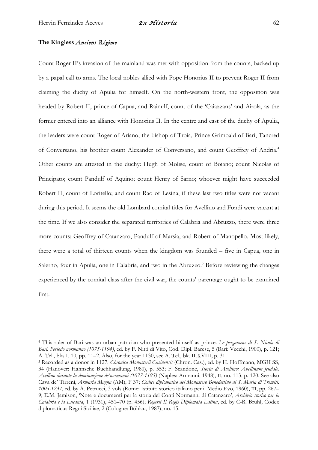## **The Kingless** *Ancient Régime*

 

Count Roger II's invasion of the mainland was met with opposition from the counts, backed up by a papal call to arms. The local nobles allied with Pope Honorius II to prevent Roger II from claiming the duchy of Apulia for himself. On the north-western front, the opposition was headed by Robert II, prince of Capua, and Rainulf, count of the 'Caiazzans' and Airola, as the former entered into an alliance with Honorius II. In the centre and east of the duchy of Apulia, the leaders were count Roger of Ariano, the bishop of Troia, Prince Grimoald of Bari, Tancred of Conversano, his brother count Alexander of Conversano, and count Geoffrey of Andria.4 Other counts are attested in the duchy: Hugh of Molise, count of Boiano; count Nicolas of Principato; count Pandulf of Aquino; count Henry of Sarno; whoever might have succeeded Robert II, count of Loritello; and count Rao of Lesina, if these last two titles were not vacant during this period. It seems the old Lombard comital titles for Avellino and Fondi were vacant at the time. If we also consider the separated territories of Calabria and Abruzzo, there were three more counts: Geoffrey of Catanzaro, Pandulf of Marsia, and Robert of Manopello. Most likely, there were a total of thirteen counts when the kingdom was founded – five in Capua, one in Salerno, four in Apulia, one in Calabria, and two in the Abruzzo.<sup>5</sup> Before reviewing the changes experienced by the comital class after the civil war, the counts' parentage ought to be examined first.

<sup>4</sup> This ruler of Bari was an urban patrician who presented himself as prince. *Le pergamene di S. Nicola di Bari. Periodo normanno (1075-1194)*, ed. by F. Nitti di Vito, Cod. Dipl. Barese, 5 (Bari: Vecchi, 1900), p. 121; A. Tel., bks I. 10, pp. 11–2. Also, for the year 1130, see A. Tel., bk. II.XVIII, p. 31.

<sup>5</sup> Recorded as a donor in 1127. *Chronica Monasterii Casinensis* (Chron. Cas.), ed. by H. Hoffmann, MGH SS, 34 (Hanover: Hahnsche Buchhandlung, 1980), p. 553; F. Scandone, *Storia di Avellino: Abellinum feudale. Avellino durante la dominazione de'normanni (1077-1195)* (Naples: Armanni, 1948), II, no. 113, p. 120. See also Cava de' Tirreni, *Armaria Magna* (AM), F 37; *Codice diplomatico del Monastero Benedettino di S. Maria di Tremiti: 1005-1237*, ed. by A. Petrucci, 3 vols (Rome: Istituto storico italiano per il Medio Evo, 1960), III, pp. 267– 9; E.M. Jamison, 'Note e documenti per la storia dei Conti Normanni di Catanzaro', *Archivio storico per la Calabria e la Lucania*, 1 (1931), 451–70 (p. 456); *Rogerii II Regis Diplomata Latina*, ed. by C-R. Brühl, Codex diplomaticus Regni Siciliae, 2 (Cologne: Böhlau, 1987), no. 15.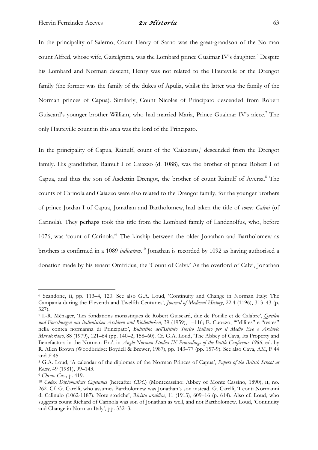In the principality of Salerno, Count Henry of Sarno was the great-grandson of the Norman count Alfred, whose wife, Gaitelgrima, was the Lombard prince Guaimar IV's daughter.<sup>6</sup> Despite his Lombard and Norman descent, Henry was not related to the Hauteville or the Drengot family (the former was the family of the dukes of Apulia, whilst the latter was the family of the Norman princes of Capua). Similarly, Count Nicolas of Principato descended from Robert Guiscard's younger brother William, who had married Maria, Prince Guaimar IV's niece.<sup>7</sup> The only Hauteville count in this area was the lord of the Principato.

In the principality of Capua, Rainulf, count of the 'Caiazzans,' descended from the Drengot family. His grandfather, Rainulf I of Caiazzo (d. 1088), was the brother of prince Robert I of Capua, and thus the son of Asclettin Drengot, the brother of count Rainulf of Aversa.<sup>8</sup> The counts of Carinola and Caiazzo were also related to the Drengot family, for the younger brothers of prince Jordan I of Capua, Jonathan and Bartholomew, had taken the title of *comes Caleni* (of Carinola). They perhaps took this title from the Lombard family of Landenolfus, who, before 1076, was 'count of Carinola.'9 The kinship between the older Jonathan and Bartholomew as brothers is confirmed in a 1089 *iudicatum.*<sup>10</sup> Jonathan is recorded by 1092 as having authorised a donation made by his tenant Omfridus, the 'Count of Calvi.' As the overlord of Calvi, Jonathan

<sup>6</sup> Scandone, II, pp. 113–4, 120. See also G.A. Loud, 'Continuity and Change in Norman Italy: The Campania during the Eleventh and Twelfth Centuries', *Journal of Medieval History*, 22.4 (1196), 313–43 (p. 327).

<sup>7</sup> L-R. Ménager, 'Les fondations monastiques de Robert Guiscard, duc de Pouille et de Calabre', *Quellen und Forschungen aus italienischen Archiven und Bibliotheken*, 39 (1959), 1–116; E. Cuozzo, '"Milites" e "testes" nella contea normanna di Principato', *Bullettino dell'Istituto Storico Italiano per il Medio Evo e Archivio Muratoriano*, 88 (1979), 121–64 (pp. 140–2, 158–60). Cf. G.A. Loud, 'The Abbey of Cava, Its Property and Benefactors in the Norman Era', in *Anglo-Norman Studies IX Proceedings of the Battle Conference 1986*, ed. by R. Allen Brown (Woodbridge: Boydell & Brewer, 1987), pp. 143–77 (pp. 157-9). See also Cava, AM, F 44 and F 45.

<sup>8</sup> G.A. Loud, 'A calendar of the diplomas of the Norman Princes of Capua', *Papers of the British School at Rome*, 49 (1981), 99–143.

<sup>9</sup> *Chron. Cas.,* p. 419.

<sup>10</sup> *Codex Diplomaticus Cajetanus* (hereafter *CDC*) (Montecassino: Abbey of Monte Cassino, 1890), II, no. 262. Cf. G. Carelli, who assumes Bartholomew was Jonathan's son instead. G. Carelli, 'I conti Normanni di Calinulo (1062-1187). Note storiche', *Rivista araldica*, 11 (1913), 609–16 (p. 614). Also cf. Loud, who suggests count Richard of Carinola was son of Jonathan as well, and not Bartholomew. Loud, 'Continuity and Change in Norman Italy', pp. 332–3.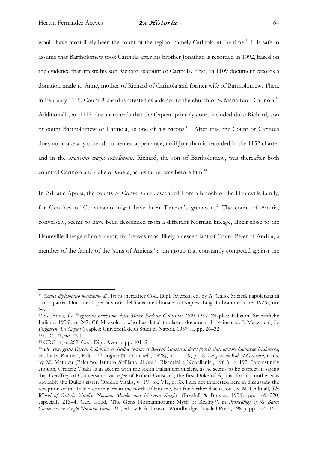would have most likely been the count of the region, namely Carinola, at the time.<sup>11</sup> It is safe to assume that Bartholomew took Carinola after his brother Jonathan is recorded in 1092, based on the evidence that attests his son Richard as count of Carinola. First, an 1109 document records a donation made to Anne, mother of Richard of Carinola and former wife of Bartholomew. Then, in February 1115, Count Richard is attested as a donor to the church of S. Maria fuori Carinola.<sup>12</sup> Additionally, an 1117 charter records that the Capuan princely court included duke Richard, son of count Bartholomew of Carinola, as one of his barons.13 After this, the Count of Carinola does not make any other documented appearance, until Jonathan is recorded in the 1152 charter and in the *quaternus magne expeditionis*. Richard, the son of Bartholomew, was thereafter both count of Carinola and duke of Gaeta, as his father was before him.<sup>14</sup>

In Adriatic Apulia, the counts of Conversano descended from a branch of the Hauteville family, for Geoffrey of Conversano might have been Tancred's grandson.<sup>15</sup> The count of Andria, conversely, seems to have been descended from a different Norman lineage, albeit close to the Hauteville lineage of conqueror, for he was most likely a descendant of Count Peter of Andria, a member of the family of the 'sons of Amicus,' a kin group that constantly competed against the

<sup>11</sup> *Codice diplomatico normanno di Aversa* (hereafter Cod. Dipl. Aversa), ed. by A. Gallo, Società napoletana di storia patria. Documenti per la storia dell'italia meridionale, ii (Naples: Luigi Lubrano editore, 1926), no. 54.

<sup>12</sup> G. Bova, *Le Pergamene normanne della Mater Ecclesia Capuana: 1091-1197* (Naples: Edizioni Scientifiche Italiane, 1996), p. 247. Cf. Mazzoleni, who has dated the latter document 1114 instead. J. Mazzoleni, *Le Pergamene Di Capua* (Naples: Università degli Studi di Napoli, 1957), I, pp. 26–32.

<sup>13</sup> CDC, II, no. 290.

<sup>14</sup> CDC, II, n. 262; Cod. Dipl. Aversa, pp. 401–2.

<sup>15</sup> *De rebus gestis Rogerii Calabriae et Siciliae comitis et Roberti Guiscardi ducis fratris eius, auctore Gaufredo Malaterra*, ed. by E. Pontieri, RIS, 5 (Bologna: N. Zanichelli, 1928), bk. II. 39, p. 48. *La geste de Robert Guiscard*, trans. by M. Mathieu (Palermo: Istituto Siciliano di Studi Bizantini e Neoellenici, 1961), p. 192. Interestingly enough, Orderic Vitalis is in accord with the south Italian chroniclers, as he seems to be correct in saying that Geoffrey of Conversano was *nepos* of Robert Guiscard, the first Duke of Apulia, for his mother was probably the Duke's sister: Orderic Vitalis, v.. IV, bk. VII, p. 33. I am not interested here in discussing the reception of the Italian chroniclers in the north of Europe, but for further discussion see M. Chibnall, *The World of Orderic Vitalis: Norman Monks and Norman Knights* (Boydell & Brewer, 1996), pp. 169–220, especially 213–4; G.A. Loud, 'The Gens Normannorum: Myth or Reality?', in *Proceedings of the Battle Conference on Anglo Norman Studies IV*, ed. by R.A. Brown (Woodbridge: Boydell Press, 1981), pp. 104–16.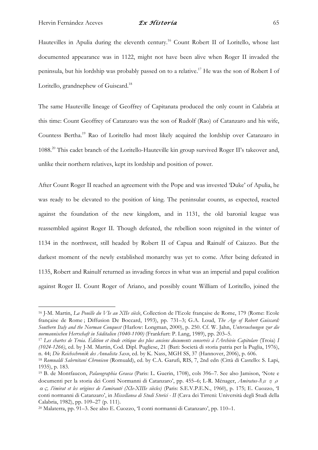Hautevilles in Apulia during the eleventh century.<sup>16</sup> Count Robert II of Loritello, whose last documented appearance was in 1122, might not have been alive when Roger II invaded the peninsula, but his lordship was probably passed on to a relative.17 He was the son of Robert I of Loritello, grandnephew of Guiscard.<sup>18</sup>

The same Hauteville lineage of Geoffrey of Capitanata produced the only count in Calabria at this time: Count Geoffrey of Catanzaro was the son of Rudolf (Rao) of Catanzaro and his wife, Countess Bertha.19 Rao of Loritello had most likely acquired the lordship over Catanzaro in 1088.20 This cadet branch of the Loritello-Hauteville kin group survived Roger II's takeover and, unlike their northern relatives, kept its lordship and position of power.

After Count Roger II reached an agreement with the Pope and was invested 'Duke' of Apulia, he was ready to be elevated to the position of king. The peninsular counts, as expected, reacted against the foundation of the new kingdom, and in 1131, the old baronial league was reassembled against Roger II. Though defeated, the rebellion soon reignited in the winter of 1134 in the northwest, still headed by Robert II of Capua and Rainulf of Caiazzo. But the darkest moment of the newly established monarchy was yet to come. After being defeated in 1135, Robert and Rainulf returned as invading forces in what was an imperial and papal coalition against Roger II. Count Roger of Ariano, and possibly count William of Loritello, joined the

<sup>16</sup> J-M. Martin, *La Pouille du VIe au XIIe siècle*, Collection de l'Ecole française de Rome, 179 (Rome: Ecole française de Rome ; Diffusion De Boccard, 1993), pp. 731–3; G.A. Loud, *The Age of Robert Guiscard: Southern Italy and the Norman Conquest* (Harlow: Longman, 2000), p. 250. Cf. W. Jahn, *Untersuchungen zur die normannischen Herrschaft in Süditalien (1040-1100)* (Frankfurt: P. Lang, 1989), pp. 203–5.

<sup>17</sup> *Les chartes de Troia. Édition et étude critique des plus anciens documents conservés à l'Archivio Capitolare* (Troia) *I (1024-1266)*, ed. by J-M. Martin, Cod. Dipl. Pugliese, 21 (Bari: Società di storia patria per la Puglia, 1976), n. 44; *Die Reichschronik des Annalista Saxo*, ed. by K. Nass, MGH SS, 37 (Hannover, 2006), p. 606.

<sup>18</sup> *Romualdi Salernitani Chronicon* (Romuald), ed. by C.A. Garufi, RIS, 7, 2nd edn (Città di Castello: S. Lapi, 1935), p. 183.

<sup>19</sup> B. de Montfaucon, *Palaeographia Graeca* (Paris: L. Guerin, 1708), cols 396–7. See also Jamison, 'Note e documenti per la storia dei Conti Normanni di Catanzaro', pp. 455–6; L-R. Ménager, *Amiratus-*Άμηρ ας*, l'émirat et les origines de l'amirauté (XIe-XIIIe siècles)* (Paris: S.E.V.P.E.N., 1960), p. 175; E. Cuozzo, 'I conti normanni di Catanzaro', in *Miscellanea di Studi Storici - II* (Cava dei Tirreni: Università degli Studi della Calabria, 1982), pp. 109–27 (p. 111).

<sup>20</sup> Malaterra, pp. 91–3. See also E. Cuozzo, 'I conti normanni di Catanzaro', pp. 110–1.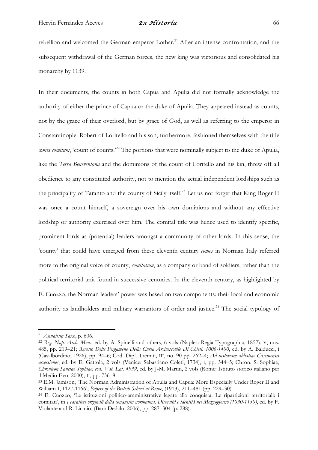rebellion and welcomed the German emperor Lothar.<sup>21</sup> After an intense confrontation, and the subsequent withdrawal of the German forces, the new king was victorious and consolidated his monarchy by 1139.

In their documents, the counts in both Capua and Apulia did not formally acknowledge the authority of either the prince of Capua or the duke of Apulia. They appeared instead as counts, not by the grace of their overlord, but by grace of God, as well as referring to the emperor in Constantinople. Robert of Loritello and his son, furthermore, fashioned themselves with the title *comes comitum*, 'count of counts.<sup>22</sup> The portions that were nominally subject to the duke of Apulia, like the *Terra Beneventana* and the dominions of the count of Loritello and his kin, threw off all obedience to any constituted authority, not to mention the actual independent lordships such as the principality of Taranto and the county of Sicily itself.<sup>23</sup> Let us not forget that King Roger II was once a count himself, a sovereign over his own dominions and without any effective lordship or authority exercised over him. The comital title was hence used to identify specific, prominent lords as (potential) leaders amongst a community of other lords. In this sense, the 'county' that could have emerged from these eleventh century *comes* in Norman Italy referred more to the original voice of county, *comitatum*, as a company or band of soldiers, rather than the political territorial unit found in successive centuries. In the eleventh century, as highlighted by E. Cuozzo, the Norman leaders' power was based on two components: their local and economic authority as landholders and military warrantors of order and justice.<sup>24</sup> The social typology of

<sup>21</sup> *Annalista Saxo*, p. 606.

<sup>22</sup> *Reg. Nap. Arch. Mon.*, ed. by A. Spinelli and others, 6 vols (Naples: Regia Typographia, 1857), V, nos. 485, pp. 219–21; *Regesto Delle Pergamene Della Curia Arcivescovile Di Chieti. 1006-1400*, ed. by A. Balducci, i (Casalbordino, 1926), pp. 94–6; Cod. Dipl. Tremiti, III, no. 90 pp. 262–4; *Ad historiam abbatiae Cassinensis accessiones*, ed. by E. Gattola, 2 vols (Venice: Sebastiano Coleti, 1734), I, pp. 344–5; Chron. S. Sophiae, *Chronicon Sanctae Sophiae: cod. Vat. Lat. 4939*, ed. by J-M. Martin, 2 vols (Rome: Istituto storico italiano per il Medio Evo, 2000), II, pp. 736–8.

<sup>23</sup> E.M. Jamison, 'The Norman Administration of Apulia and Capua: More Especially Under Roger II and William I, 1127-1166', *Papers of the British School at Rome*, (1913), 211–481 (pp. 229–30).

<sup>24</sup> E. Cuozzo, 'Le istituzioni politico-amministrative legate alla conquista. Le ripartizioni territoriali: i comitati', in *I caratteri originali della conquista normanna. Diversità e identità nel Mezzogiorno (1030-1130)*, ed. by F. Violante and R. Licinio, (Bari: Dedalo, 2006), pp. 287–304 (p. 288).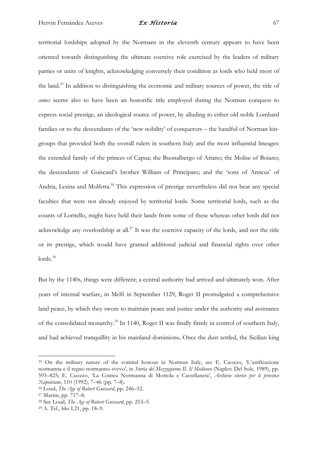territorial lordships adopted by the Normans in the eleventh century appears to have been oriented towards distinguishing the ultimate coercive role exercised by the leaders of military parties or units of knights, acknowledging conversely their condition as lords who held most of the land.25 In addition to distinguishing the economic and military sources of power, the title of *comes* seems also to have been an honorific title employed during the Norman conquest to express social prestige, an ideological source of power, by alluding to either old noble Lombard families or to the descendants of the 'new nobility' of conquerors – the handful of Norman kingroups that provided both the overall rulers in southern Italy and the most influential lineages: the extended family of the princes of Capua; the Buonalbergo of Ariano; the Molise of Boiano; the descendants of Guiscard's brother William of Principato; and the 'sons of Amicus' of Andria, Lesina and Molfetta.<sup>26</sup> This expression of prestige nevertheless did not bear any special faculties that were not already enjoyed by territorial lords. Some territorial lords, such as the counts of Loritello, might have held their lands from some of these whereas other lords did not acknowledge any overlordship at all.<sup>27</sup> It was the coercive capacity of the lords, and not the title or its prestige, which would have granted additional judicial and financial rights over other lords.<sup>28</sup>

But by the 1140s, things were different; a central authority had arrived and ultimately won. After years of internal warfare, in Melfi in September 1129, Roger II promulgated a comprehensive land peace, by which they swore to maintain peace and justice under the authority and assistance of the consolidated monarchy.29 In 1140, Roger II was finally firmly in control of southern Italy, and had achieved tranquillity in his mainland dominions**.** Once the dust settled, the Sicilian king

<sup>25</sup> On the military nature of the comital honour in Norman Italy, see E. Cuozzo, 'L'unificazione normanna e il regno normanno-svevo', in *Storia del Mezzogiorno II. Il Medieovo* (Naples: Del Sole, 1989), pp. 593–825; E. Cuozzo, 'La Contea Normanna di Mottola e Castellaneta', *Archivio storico per le province Napoletane*, 110 (1992), 7–46 (pp. 7–8).

<sup>26</sup> Loud, *The Age of Robert Guiscard*, pp. 246–52.

<sup>27</sup> Martin, pp. 717–8.

<sup>28</sup> See Loud, *The Age of Robert Guiscard*, pp. 253–5.

<sup>29</sup> A. Tel., bks I.21, pp. 18–9.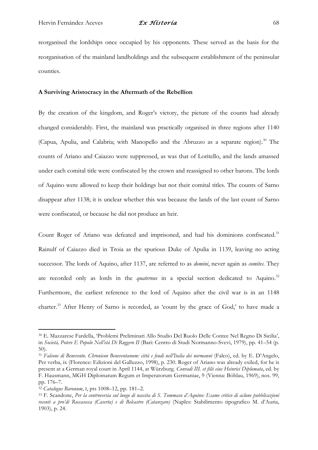reorganised the lordships once occupied by his opponents. These served as the basis for the reorganisation of the mainland landholdings and the subsequent establishment of the peninsular counties.

### **A Surviving Aristocracy in the Aftermath of the Rebellion**

By the creation of the kingdom, and Roger's victory, the picture of the counts had already changed considerably. First, the mainland was practically organised in three regions after 1140 (Capua, Apulia, and Calabria; with Manopello and the Abruzzo as a separate region).<sup>30</sup> The counts of Ariano and Caiazzo were suppressed, as was that of Loritello, and the lands amassed under each comital title were confiscated by the crown and reassigned to other barons. The lords of Aquino were allowed to keep their holdings but not their comital titles. The counts of Sarno disappear after 1138; it is unclear whether this was because the lands of the last count of Sarno were confiscated, or because he did not produce an heir.

Count Roger of Ariano was defeated and imprisoned, and had his dominions confiscated.<sup>31</sup> Rainulf of Caiazzo died in Troia as the spurious Duke of Apulia in 1139, leaving no acting successor. The lords of Aquino, after 1137, are referred to as *domini*, never again as *comites.* They are recorded only as lords in the *quaternus* in a special section dedicated to Aquino.<sup>32</sup> Furthermore, the earliest reference to the lord of Aquino after the civil war is in an 1148 charter.33 After Henry of Sarno is recorded, as 'count by the grace of God,' to have made a

<sup>30</sup> E. Mazzarese Fardella, 'Problemi Preliminari Allo Studio Del Ruolo Delle Contee Nel Regno Di Sicilia', in *Società, Potere E Popolo Nell'età Di Ruggero II* (Bari: Centro di Studi Normanno-Svevi, 1979), pp. 41–54 (p. 50).

<sup>31</sup> *Falcone di Benevento. Chronicon Beneventanum: città e feudi nell'Italia dei normanni* (Falco), ed. by E. D'Angelo, Per verba, ix (Florence: Edizioni del Galluzzo, 1998), p. 230. Roger of Ariano was already exiled, for he is present at a German royal court in April 1144, at Würzburg. *Conradi III. et filii eius Heinrici Diplomata*, ed. by F. Hausmann, MGH Diplomatum Regum et Imperatorum Germaniae, 9 (Vienna: Böhlau, 1969), nos. 99, pp. 176–7.

<sup>32</sup> *Catalogus Baronum*, I, pts 1008–12, pp. 181–2.

<sup>33</sup> F. Scandone, *Per la controversia sul luogo di nascita di S. Tommaso d'Aquino: Esame critico di aclune pubblicazioni recenti a pro'di Roccasecca (Caserta) e di Belcastro (Catanzaro)* (Naples: Stabilimento tipografico M. d'Auria, 1903), p. 24.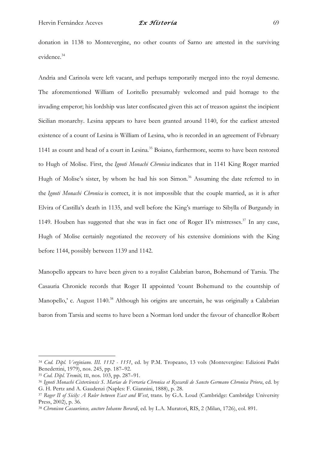donation in 1138 to Montevergine, no other counts of Sarno are attested in the surviving evidence.<sup>34</sup>

Andria and Carinola were left vacant, and perhaps temporarily merged into the royal demesne. The aforementioned William of Loritello presumably welcomed and paid homage to the invading emperor; his lordship was later confiscated given this act of treason against the incipient Sicilian monarchy. Lesina appears to have been granted around 1140, for the earliest attested existence of a count of Lesina is William of Lesina, who is recorded in an agreement of February 1141 as count and head of a court in Lesina.<sup>35</sup> Boiano, furthermore, seems to have been restored to Hugh of Molise. First, the *Ignoti Monachi Chronica* indicates that in 1141 King Roger married Hugh of Molise's sister, by whom he had his son Simon.<sup>36</sup> Assuming the date referred to in the *Ignoti Monachi Chronica* is correct, it is not impossible that the couple married, as it is after Elvira of Castilla's death in 1135, and well before the King's marriage to Sibylla of Burgundy in 1149. Houben has suggested that she was in fact one of Roger II's mistresses.<sup>37</sup> In any case, Hugh of Molise certainly negotiated the recovery of his extensive dominions with the King before 1144, possibly between 1139 and 1142.

Manopello appears to have been given to a royalist Calabrian baron, Bohemund of Tarsia. The Casauria Chronicle records that Roger II appointed 'count Bohemund to the countship of Manopello,' c. August 1140.<sup>38</sup> Although his origins are uncertain, he was originally a Calabrian baron from Tarsia and seems to have been a Norman lord under the favour of chancellor Robert

<sup>34</sup> *Cod. Dipl. Verginiano. III. 1132 - 1151*, ed. by P.M. Tropeano, 13 vols (Montevergine: Edizioni Padri Benedettini, 1979), nos. 245, pp. 187–92.

<sup>35</sup> *Cod. Dipl. Tremiti,* III, nos. 103, pp. 287–91.

<sup>36</sup> *Ignoti Monachi Cisterciensis S. Mariae de Ferraria Chronica et Ryccardi de Sancto Germano Chronica Priora*, ed. by G. H. Pertz and A. Gaudenzi (Naples: F. Giannini, 1888), p. 28.

<sup>37</sup> *Roger II of Sicily: A Ruler between East and West*, trans. by G.A. Loud (Cambridge: Cambridge University Press, 2002), p. 36.

<sup>38</sup> *Chronicon Casauriense, auctore Iohanne Berardi*, ed. by L.A. Muratori, RIS, 2 (Milan, 1726), col. 891.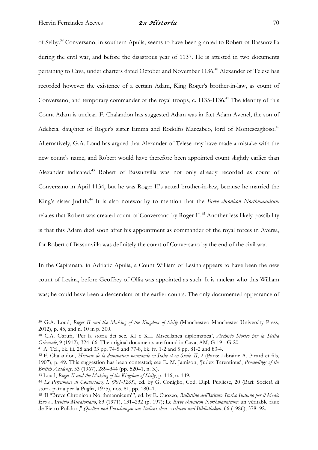of Selby.39 Conversano, in southern Apulia, seems to have been granted to Robert of Bassunvilla during the civil war, and before the disastrous year of 1137. He is attested in two documents pertaining to Cava, under charters dated October and November 1136.<sup>40</sup> Alexander of Telese has recorded however the existence of a certain Adam, King Roger's brother-in-law, as count of Conversano, and temporary commander of the royal troops, c. 1135-1136.<sup>41</sup> The identity of this Count Adam is unclear. F. Chalandon has suggested Adam was in fact Adam Avenel, the son of Adelicia, daughter of Roger's sister Emma and Rodolfo Maccabeo, lord of Montescaglioso.<sup>42</sup> Alternatively, G.A. Loud has argued that Alexander of Telese may have made a mistake with the new count's name, and Robert would have therefore been appointed count slightly earlier than Alexander indicated.<sup>43</sup> Robert of Bassunvilla was not only already recorded as count of Conversano in April 1134, but he was Roger II's actual brother-in-law, because he married the King's sister Judith.44 It is also noteworthy to mention that the *Breve chronicon Northmannicum* relates that Robert was created count of Conversano by Roger II.<sup>45</sup> Another less likely possibility is that this Adam died soon after his appointment as commander of the royal forces in Aversa, for Robert of Bassunvilla was definitely the count of Conversano by the end of the civil war.

In the Capitanata, in Adriatic Apulia, a Count William of Lesina appears to have been the new count of Lesina, before Geoffrey of Ollia was appointed as such. It is unclear who this William was; he could have been a descendant of the earlier counts. The only documented appearance of

<sup>39</sup> G.A. Loud, *Roger II and the Making of the Kingdom of Sicily* (Manchester: Manchester University Press, 2012), p. 45, and n. 10 in p. 300.

<sup>40</sup> C.A. Garufi, 'Per la storia dei sec. XI e XII. Miscellanea diplomatica', *Archivio Storico per la Sicilia Orientale*, 9 (1912), 324–66. The original documents are found in Cava, AM, G 19 - G 20.

<sup>41</sup> A. Tel., bk. iii. 28 and 33 pp. 74-5 and 77-8, bk. iv. 1-2 and 5 pp. 81-2 and 83-4.

<sup>42</sup> F. Chalandon, *Histoire de la domination normande en Italie et en Sicile. II*, 2 (Paris: Librairie A. Picard et fils, 1907), p. 49. This suggestion has been contested; see E. M. Jamison, 'Judex Tarentinus', *Proceedings of the British Academy*, 53 (1967), 289–344 (pp. 520–1, n. 3.).

<sup>43</sup> Loud, *Roger II and the Making of the Kingdom of Sicily*, p. 116, n. 149.

<sup>44</sup> *Le Pergamene di Conversano, I, (901-1265)*, ed. by G. Coniglio, Cod. Dipl. Pugliese, 20 (Bari: Società di storia patria per la Puglia, 1975), nos. 81, pp. 180–1.

<sup>45</sup> 'Il "Breve Chronicon Northmannicum"', ed. by E. Cuozzo, *Bullettino dell'Istituto Storico Italiano per il Medio Evo e Archivio Muratoriano*, 83 (1971), 131–232 (p. 197); Le *Breve chronicon Northmannicum*: un véritable faux de Pietro Polidori," *Quellen und Forschungen aus Italienischen Archiven und Bibliotheken*, 66 (1986), 378–92.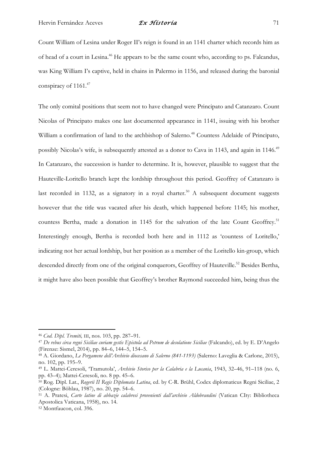Count William of Lesina under Roger II's reign is found in an 1141 charter which records him as of head of a court in Lesina.46 He appears to be the same count who, according to ps. Falcandus, was King William I's captive, held in chains in Palermo in 1156, and released during the baronial conspiracy of 1161.<sup>47</sup>

The only comital positions that seem not to have changed were Principato and Catanzaro. Count Nicolas of Principato makes one last documented appearance in 1141, issuing with his brother William a confirmation of land to the archbishop of Salerno.<sup>48</sup> Countess Adelaide of Principato, possibly Nicolas's wife, is subsequently attested as a donor to Cava in 1143, and again in 1146.<sup>49</sup> In Catanzaro, the succession is harder to determine. It is, however, plausible to suggest that the Hauteville-Loritello branch kept the lordship throughout this period. Geoffrey of Catanzaro is last recorded in 1132, as a signatory in a royal charter.<sup>50</sup> A subsequent document suggests however that the title was vacated after his death, which happened before 1145; his mother, countess Bertha, made a donation in 1145 for the salvation of the late Count Geoffrey.<sup>51</sup> Interestingly enough, Bertha is recorded both here and in 1112 as 'countess of Loritello,' indicating not her actual lordship, but her position as a member of the Loritello kin-group, which descended directly from one of the original conquerors, Geoffrey of Hauteville.<sup>52</sup> Besides Bertha, it might have also been possible that Geoffrey's brother Raymond succeeded him, being thus the

<sup>46</sup> *Cod. Dipl. Tremiti,* III, nos. 103, pp. 287–91.

<sup>47</sup> *De rebus circa regni Siciliae curiam gestis Epistola ad Petrum de desolatione Siciliae* (Falcando), ed. by E. D'Angelo (Firenze: Sismel, 2014), pp. 84–6, 144–5, 154–5.

<sup>48</sup> A. Giordano, *Le Pergamene dell'Archivio diocesano di Salerno (841-1193)* (Salerno: Laveglia & Carlone, 2015), no. 102, pp. 195–9.

<sup>49</sup> L. Mattei-Ceresoli, 'Tramutola', *Archivio Storico per la Calabria e la Lucania*, 1943, 32–46, 91–118 (no. 6, pp. 43–4); Mattei-Ceresoli, no. 8 pp. 45–6.

<sup>50</sup> Rog. Dipl. Lat., *Rogerii II Regis Diplomata Latina*, ed. by C-R. Brühl, Codex diplomaticus Regni Siciliae, 2 (Cologne: Böhlau, 1987), no. 20, pp. 54–6.

<sup>51</sup> A. Pratesi, *Carte latine di abbazie calabresi provenienti dall'archivio Aldobrandini* (Vatican CIty: Bibliotheca Apostolica Vaticana, 1958), no. 14. 52 Montfaucon, col. 396.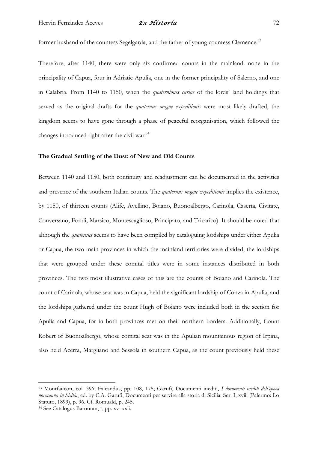former husband of the countess Segelgarda, and the father of young countess Clemence.<sup>53</sup>

Therefore, after 1140, there were only six confirmed counts in the mainland: none in the principality of Capua, four in Adriatic Apulia, one in the former principality of Salerno, and one in Calabria. From 1140 to 1150, when the *quaterniones curiae* of the lords' land holdings that served as the original drafts for the *quaternus magne expeditionis* were most likely drafted, the kingdom seems to have gone through a phase of peaceful reorganisation, which followed the changes introduced right after the civil war.<sup>54</sup>

### **The Gradual Settling of the Dust: of New and Old Counts**

Between 1140 and 1150, both continuity and readjustment can be documented in the activities and presence of the southern Italian counts. The *quaternus magne expeditionis* implies the existence, by 1150, of thirteen counts (Alife, Avellino, Boiano, Buonoalbergo, Carinola, Caserta, Civitate, Conversano, Fondi, Marsico, Montescaglioso, Principato, and Tricarico). It should be noted that although the *quaternus* seems to have been compiled by cataloguing lordships under either Apulia or Capua, the two main provinces in which the mainland territories were divided, the lordships that were grouped under these comital titles were in some instances distributed in both provinces. The two most illustrative cases of this are the counts of Boiano and Carinola. The count of Carinola, whose seat was in Capua, held the significant lordship of Conza in Apulia, and the lordships gathered under the count Hugh of Boiano were included both in the section for Apulia and Capua, for in both provinces met on their northern borders. Additionally, Count Robert of Buonoalbergo, whose comital seat was in the Apulian mountainous region of Irpina, also held Acerra, Margliano and Sessola in southern Capua, as the count previously held these

<sup>53</sup> Montfaucon, col. 396; Falcandus, pp. 108, 175; Garufi, Documenti inediti, *I documenti inediti dell'epoca normanna in Sicilia*, ed. by C.A. Garufi, Documenti per servire alla storia di Sicilia: Ser. I, xviii (Palermo: Lo Statuto, 1899), p. 96. Cf. Romuald, p. 245.

<sup>54</sup> See Catalogus Baronum, I, pp. xv–xxii.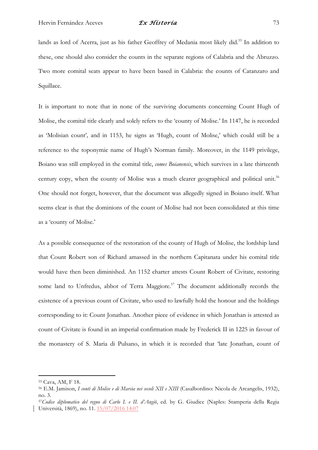lands as lord of Acerra, just as his father Geoffrey of Medania most likely did.<sup>55</sup> In addition to these, one should also consider the counts in the separate regions of Calabria and the Abruzzo. Two more comital seats appear to have been based in Calabria: the counts of Catanzaro and Squillace.

It is important to note that in none of the surviving documents concerning Count Hugh of Molise, the comital title clearly and solely refers to the 'county of Molise.' In 1147, he is recorded as 'Molisian count'*,* and in 1153, he signs as 'Hugh, count of Molise,' which could still be a reference to the toponymic name of Hugh's Norman family. Moreover, in the 1149 privilege, Boiano was still employed in the comital title, *comes Boianensis*, which survives in a late thirteenth century copy, when the county of Molise was a much clearer geographical and political unit.<sup>56</sup> One should not forget, however, that the document was allegedly signed in Boiano itself. What seems clear is that the dominions of the count of Molise had not been consolidated at this time as a 'county of Molise.'

As a possible consequence of the restoration of the county of Hugh of Molise, the lordship land that Count Robert son of Richard amassed in the northern Capitanata under his comital title would have then been diminished. An 1152 charter attests Count Robert of Civitate, restoring some land to Unfredus, abbot of Terra Maggiore.<sup>57</sup> The document additionally records the existence of a previous count of Civitate, who used to lawfully hold the honour and the holdings corresponding to it: Count Jonathan. Another piece of evidence in which Jonathan is attested as count of Civitate is found in an imperial confirmation made by Frederick II in 1225 in favour of the monastery of S. Maria di Pulsano, in which it is recorded that 'late Jonathan, count of

<sup>55</sup> Cava, AM, F 18.

<sup>56</sup> E.M. Jamison, *I conti di Molise e di Marsia nei secoli XII e XIII* (Casalbordino: Nicola de Arcangelis, 1932), no. 3.

<sup>57</sup>*Codice diplomatico del regno di Carlo I. e II. d'Angiò*, ed. by G. Giudice (Naples: Stamperia della Regia Università, 1869), no. 11. 15/07/2016 14:07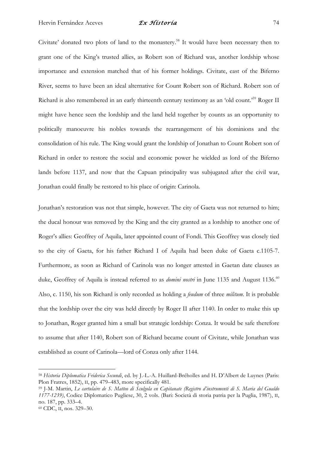Hervin Fernández Aceves *Ex Historia* 74

Civitate' donated two plots of land to the monastery.58 It would have been necessary then to grant one of the King's trusted allies, as Robert son of Richard was, another lordship whose importance and extension matched that of his former holdings. Civitate, east of the Biferno River, seems to have been an ideal alternative for Count Robert son of Richard. Robert son of Richard is also remembered in an early thirteenth century testimony as an 'old count.<sup>59</sup> Roger II might have hence seen the lordship and the land held together by counts as an opportunity to politically manoeuvre his nobles towards the rearrangement of his dominions and the consolidation of his rule. The King would grant the lordship of Jonathan to Count Robert son of Richard in order to restore the social and economic power he wielded as lord of the Biferno lands before 1137, and now that the Capuan principality was subjugated after the civil war, Jonathan could finally be restored to his place of origin: Carinola.

Jonathan's restoration was not that simple, however. The city of Gaeta was not returned to him; the ducal honour was removed by the King and the city granted as a lordship to another one of Roger's allies: Geoffrey of Aquila, later appointed count of Fondi. This Geoffrey was closely tied to the city of Gaeta, for his father Richard I of Aquila had been duke of Gaeta c.1105-7. Furthermore, as soon as Richard of Carinola was no longer attested in Gaetan date clauses as duke, Geoffrey of Aquila is instead referred to as *domini nostri* in June 1135 and August 1136.<sup>60</sup> Also, c. 1150, his son Richard is only recorded as holding a *feudum* of three *militum*. It is probable that the lordship over the city was held directly by Roger II after 1140. In order to make this up to Jonathan, Roger granted him a small but strategic lordship: Conza. It would be safe therefore to assume that after 1140, Robert son of Richard became count of Civitate, while Jonathan was established as count of Carinola—lord of Conza only after 1144.

<sup>58</sup> *Historia Diplomatica Friderica Secundi*, ed. by J.-L.-A. Huillard-Bréholles and H. D'Albert de Luynes (Paris: Plon Fratres, 1852), II, pp. 479–483, more specifically 481.

<sup>59</sup> J-M. Martin, *Le cartulaire de S. Matteo di Sculgola en Capitanate (Registro d'instrumenti di S. Maria del Gualdo 1177-1239)*, Codice Diplomatico Pugliese, 30, 2 vols. (Bari: Società di storia patria per la Puglia, 1987), II, no. 187, pp. 333–4.

<sup>60</sup> CDC, II, nos. 329–30.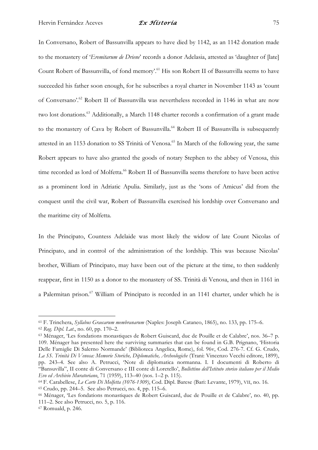Hervin Fernández Aceves *Ex Historia* 75

In Conversano, Robert of Bassunvilla appears to have died by 1142, as an 1142 donation made to the monastery of '*Eremitarum de Driene*' records a donor Adelasia, attested as 'daughter of [late] Count Robert of Bassunvilla, of fond memory'.<sup>61</sup> His son Robert II of Bassunvilla seems to have succeeded his father soon enough, for he subscribes a royal charter in November 1143 as 'count of Conversano'*.* <sup>62</sup> Robert II of Bassunvilla was nevertheless recorded in 1146 in what are now two lost donations.<sup>63</sup> Additionally, a March 1148 charter records a confirmation of a grant made to the monastery of Cava by Robert of Bassunvilla.<sup>64</sup> Robert II of Bassunvilla is subsequently attested in an 1153 donation to SS Trinità of Venosa.<sup>65</sup> In March of the following year, the same Robert appears to have also granted the goods of notary Stephen to the abbey of Venosa, this time recorded as lord of Molfetta.<sup>66</sup> Robert II of Bassunvilla seems therefore to have been active as a prominent lord in Adriatic Apulia. Similarly, just as the 'sons of Amicus' did from the conquest until the civil war, Robert of Bassunvilla exercised his lordship over Conversano and the maritime city of Molfetta.

In the Principato, Countess Adelaide was most likely the widow of late Count Nicolas of Principato, and in control of the administration of the lordship. This was because Nicolas' brother, William of Principato, may have been out of the picture at the time, to then suddenly reappear, first in 1150 as a donor to the monastery of SS. Trinità di Venosa, and then in 1161 in a Palermitan prison.<sup>67</sup> William of Principato is recorded in an 1141 charter, under which he is

<sup>61</sup> F. Trinchera, *Syllabus Graecarum membranarum* (Naples: Joseph Cataneo, 1865), no. 133, pp. 175–6.

<sup>62</sup> *Rog. Dipl. Lat*., no. 60, pp. 170–2.

<sup>63</sup> Ménager, 'Les fondations monastiques de Robert Guiscard, duc de Pouille et de Calabre', nos. 36–7 p. 109. Ménager has presented here the surviving summaries that can be found in G.B. Prignano, 'Historia Delle Famiglie Di Salerno Normande' (Biblioteca Angelica, Rome), fol. 96v, Cod. 276-7. Cf. G. Crudo, *La SS. Trinità Di Venosa: Memorie Storiche, Diplomatiche, Archeologiche* (Trani: Vincenzo Vecchi editore, 1899), pp. 243–4. See also A. Petrucci, 'Note di diplomatica normanna. I. I documenti di Roberto di "Bansuvilla", II conte di Conversano e III conte di Loretello', *Bullettino dell'Istituto storico italiano per il Medio Evo ed Archivio Muratoriano*, 71 (1959), 113–40 (nos. 1–2 p. 115).

<sup>64</sup> F. Carabellese, *Le Carte Di Molfetta (1076-1309)*, Cod. Dipl. Barese (Bari: Levante, 1979), VII, no. 16. <sup>65</sup> Crudo, pp. 244–5. See also Petrucci, no. 4, pp. 115–6.

<sup>66</sup> Ménager, 'Les fondations monastiques de Robert Guiscard, duc de Pouille et de Calabre', no. 40, pp. 111–2. See also Petrucci, no. 5, p. 116.

<sup>67</sup> Romuald, p. 246.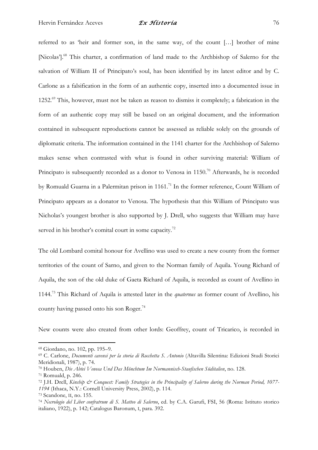referred to as 'heir and former son, in the same way, of the count […] brother of mine [Nicolas]<sup>68</sup> This charter, a confirmation of land made to the Archbishop of Salerno for the salvation of William II of Principato's soul, has been identified by its latest editor and by C. Carlone as a falsification in the form of an authentic copy, inserted into a documented issue in 1252.<sup>69</sup> This, however, must not be taken as reason to dismiss it completely; a fabrication in the form of an authentic copy may still be based on an original document, and the information contained in subsequent reproductions cannot be assessed as reliable solely on the grounds of diplomatic criteria. The information contained in the 1141 charter for the Archbishop of Salerno makes sense when contrasted with what is found in other surviving material: William of Principato is subsequently recorded as a donor to Venosa in 1150.<sup>70</sup> Afterwards, he is recorded by Romuald Guarna in a Palermitan prison in 1161.<sup>71</sup> In the former reference, Count William of Principato appears as a donator to Venosa. The hypothesis that this William of Principato was Nicholas's youngest brother is also supported by J. Drell, who suggests that William may have served in his brother's comital court in some capacity.<sup>72</sup>

The old Lombard comital honour for Avellino was used to create a new county from the former territories of the count of Sarno, and given to the Norman family of Aquila. Young Richard of Aquila, the son of the old duke of Gaeta Richard of Aquila, is recorded as count of Avellino in 1144.73 This Richard of Aquila is attested later in the *quaternus* as former count of Avellino, his county having passed onto his son Roger.<sup>74</sup>

New counts were also created from other lords: Geoffrey, count of Tricarico, is recorded in

 <sup>68</sup> Giordano, no. 102, pp. 195–9.

<sup>69</sup> C. Carlone, *Documenti cavensi per la storia di Rocchetta S. Antonio* (Altavilla Silentina: Edizioni Studi Storici Meridionali, 1987), p. 74.

<sup>70</sup> Houben, *Die Abtei Venosa Und Das Mönchtum Im Normannisch-Staufischen Süditalien*, no. 128.

<sup>71</sup> Romuald, p. 246.

<sup>72</sup> J.H. Drell, *Kinship & Conquest: Family Strategies in the Principality of Salerno during the Norman Period, 1077- 1194* (Ithaca, N.Y.: Cornell University Press, 2002), p. 114.

<sup>73</sup> Scandone, II, no. 155.

<sup>74</sup> *Necrologio del Liber confratrum di S. Matteo di Salerno*, ed. by C.A. Garufi, FSI, 56 (Roma: Istituto storico italiano, 1922), p. 142; Catalogus Baronum, I, para. 392.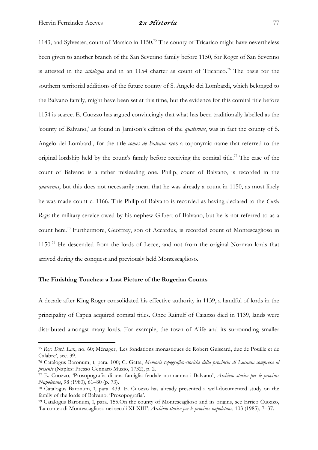Hervin Fernández Aceves *Ex Historia* 77

1143; and Sylvester, count of Marsico in 1150.75 The county of Tricarico might have nevertheless been given to another branch of the San Severino family before 1150, for Roger of San Severino is attested in the *catalogus* and in an 1154 charter as count of Tricarico.<sup>76</sup> The basis for the southern territorial additions of the future county of S. Angelo dei Lombardi, which belonged to the Balvano family, might have been set at this time, but the evidence for this comital title before 1154 is scarce. E. Cuozzo has argued convincingly that what has been traditionally labelled as the 'county of Balvano,' as found in Jamison's edition of the *quaternus*, was in fact the county of S. Angelo dei Lombardi, for the title *comes de Balvano* was a toponymic name that referred to the original lordship held by the count's family before receiving the comital title.<sup>77</sup> The case of the count of Balvano is a rather misleading one. Philip, count of Balvano, is recorded in the *quaternus*, but this does not necessarily mean that he was already a count in 1150, as most likely he was made count c. 1166. This Philip of Balvano is recorded as having declared to the *Curia Regis* the military service owed by his nephew Gilbert of Balvano, but he is not referred to as a count here.78 Furthermore, Geoffrey, son of Accardus, is recorded count of Montescaglioso in 1150.<sup>79</sup> He descended from the lords of Lecce, and not from the original Norman lords that arrived during the conquest and previously held Montescaglioso.

### **The Finishing Touches: a Last Picture of the Rogerian Counts**

 

A decade after King Roger consolidated his effective authority in 1139, a handful of lords in the principality of Capua acquired comital titles. Once Rainulf of Caiazzo died in 1139, lands were distributed amongst many lords. For example, the town of Alife and its surrounding smaller

<sup>75</sup> *Rog. Dipl. Lat.*, no. 60; Ménager, 'Les fondations monastiques de Robert Guiscard, duc de Pouille et de Calabre', sec. 39.

<sup>76</sup> Catalogus Baronum, I, para. 100; C. Gatta, *Memorie topografico-storiche della provincia di Lucania compresa al presente* (Naples: Presso Gennaro Muzio, 1732), p. 2.

<sup>77</sup> E. Cuozzo, 'Prosopografia di una famiglia feudale normanna: i Balvano', *Archivio storico per le province Napoletane*, 98 (1980), 61–80 (p. 73).

<sup>78</sup> Catalogus Baronum, I, para. 433. E. Cuozzo has already presented a well-documented study on the family of the lords of Balvano. 'Prosopografia'.

<sup>79</sup> Catalogus Baronum, I, para. 155.On the county of Montescaglioso and its origins, see Errico Cuozzo, 'La contea di Montescaglioso nei secoli XI-XIII', *Archivio storico per le province napoletane*, 103 (1985), 7–37.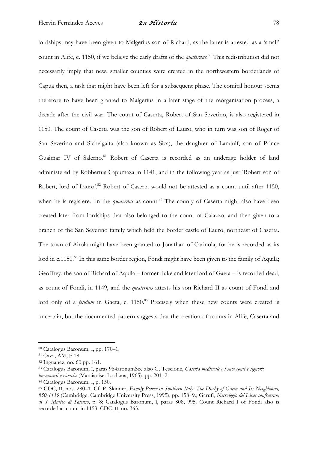Hervin Fernández Aceves *Ex Historia* 78

lordships may have been given to Malgerius son of Richard, as the latter is attested as a 'small' count in Alife, c. 1150, if we believe the early drafts of the *quaternus*.<sup>80</sup> This redistribution did not necessarily imply that new, smaller counties were created in the northwestern borderlands of Capua then, a task that might have been left for a subsequent phase. The comital honour seems therefore to have been granted to Malgerius in a later stage of the reorganisation process, a decade after the civil war. The count of Caserta, Robert of San Severino, is also registered in 1150. The count of Caserta was the son of Robert of Lauro, who in turn was son of Roger of San Severino and Sichelgaita (also known as Sica), the daughter of Landulf, son of Prince Guaimar IV of Salerno.<sup>81</sup> Robert of Caserta is recorded as an underage holder of land administered by Robbertus Capumaza in 1141, and in the following year as just 'Robert son of Robert, lord of Lauro'.<sup>82</sup> Robert of Caserta would not be attested as a count until after 1150, when he is registered in the *quaternus* as count.<sup>83</sup> The county of Caserta might also have been created later from lordships that also belonged to the count of Caiazzo, and then given to a branch of the San Severino family which held the border castle of Lauro, northeast of Caserta. The town of Airola might have been granted to Jonathan of Carinola, for he is recorded as its lord in c.1150.<sup>84</sup> In this same border region, Fondi might have been given to the family of Aquila; Geoffrey, the son of Richard of Aquila – former duke and later lord of Gaeta – is recorded dead, as count of Fondi, in 1149, and the *quaternus* attests his son Richard II as count of Fondi and lord only of a *feudum* in Gaeta, c. 1150.<sup>85</sup> Precisely when these new counts were created is uncertain, but the documented pattern suggests that the creation of counts in Alife, Caserta and

 <sup>80</sup> Catalogus Baronum, I, pp. 170–1.

<sup>81</sup> Cava, AM, F 18.

<sup>82</sup> Inguanez, no. 60 pp. 161.

<sup>83</sup> Catalogus Baronum, I, paras 964aronumSee also G. Tescione, *Caserta medievale e i suoi conti e signori:* 

*lineamenti e ricerche* (Marcianise: La diana, 1965), pp. 201–2.

<sup>84</sup> Catalogus Baronum, I, p. 150.

<sup>85</sup> CDC, II, nos. 280–1. Cf. P. Skinner, *Family Power in Southern Italy: The Duchy of Gaeta and Its Neighbours, 850-1139* (Cambridge: Cambridge University Press, 1995), pp. 158–9.; Garufi, *Necrologio del Liber confratrum di S. Matteo di Salerno*, p. 8; Catalogus Baronum, I, paras 808, 995. Count Richard I of Fondi also is recorded as count in 1153. CDC, II, no. 363.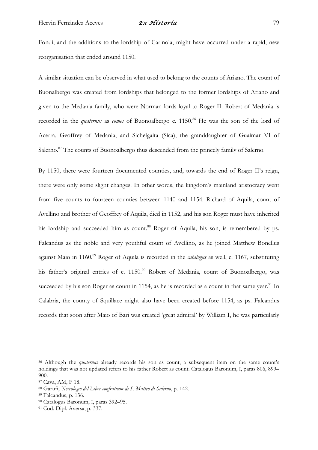Fondi, and the additions to the lordship of Carinola, might have occurred under a rapid, new reorganisation that ended around 1150.

A similar situation can be observed in what used to belong to the counts of Ariano. The count of Buonalbergo was created from lordships that belonged to the former lordships of Ariano and given to the Medania family, who were Norman lords loyal to Roger II. Robert of Medania is recorded in the *quaternus* as *comes* of Buonoalbergo c. 1150.<sup>86</sup> He was the son of the lord of Acerra, Geoffrey of Medania, and Sichelgaita (Sica), the granddaughter of Guaimar VI of Salerno.<sup>87</sup> The counts of Buonoalbergo thus descended from the princely family of Salerno.

By 1150, there were fourteen documented counties, and, towards the end of Roger II's reign, there were only some slight changes. In other words, the kingdom's mainland aristocracy went from five counts to fourteen counties between 1140 and 1154. Richard of Aquila, count of Avellino and brother of Geoffrey of Aquila, died in 1152, and his son Roger must have inherited his lordship and succeeded him as count.<sup>88</sup> Roger of Aquila, his son, is remembered by ps. Falcandus as the noble and very youthful count of Avellino, as he joined Matthew Bonellus against Maio in 1160.<sup>89</sup> Roger of Aquila is recorded in the *catalogus* as well, c. 1167, substituting his father's original entries of c. 1150.<sup>90</sup> Robert of Medania, count of Buonoalbergo, was succeeded by his son Roger as count in 1154, as he is recorded as a count in that same year.<sup>91</sup> In Calabria, the county of Squillace might also have been created before 1154, as ps. Falcandus records that soon after Maio of Bari was created 'great admiral' by William I, he was particularly

<sup>86</sup> Although the *quaternus* already records his son as count, a subsequent item on the same count's holdings that was not updated refers to his father Robert as count. Catalogus Baronum, I, paras 806, 899– 900.

<sup>87</sup> Cava, AM, F 18.

<sup>88</sup> Garufi, *Necrologio del Liber confratrum di S. Matteo di Salerno*, p. 142.

<sup>89</sup> Falcandus, p. 136.

<sup>90</sup> Catalogus Baronum, I, paras 392–95.

<sup>91</sup> Cod. Dipl. Aversa, p. 337.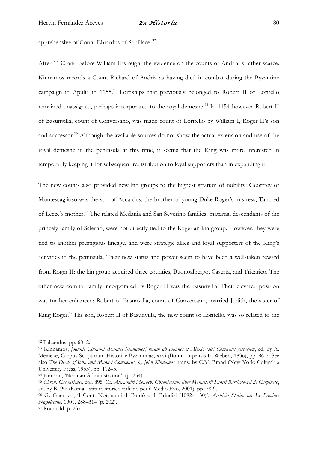apprehensive of Count Ebrardus of Squillace. <sup>92</sup>

After 1130 and before William II's reign, the evidence on the counts of Andria is rather scarce. Kinnamos records a Count Richard of Andria as having died in combat during the Byzantine campaign in Apulia in 1155.93 Lordships that previously belonged to Robert II of Loritello remained unassigned, perhaps incorporated to the royal demesne.<sup>94</sup> In 1154 however Robert II of Basunvilla, count of Conversano, was made count of Loritello by William I, Roger II's son and successor.<sup>95</sup> Although the available sources do not show the actual extension and use of the royal demesne in the peninsula at this time, it seems that the King was more interested in temporarily keeping it for subsequent redistribution to loyal supporters than in expanding it.

The new counts also provided new kin groups to the highest stratum of nobility: Geoffrey of Montescaglioso was the son of Accardus, the brother of young Duke Roger's mistress, Tancred of Lecce's mother.<sup>96</sup> The related Medania and San Severino families, maternal descendants of the princely family of Salerno, were not directly tied to the Rogerian kin group. However, they were tied to another prestigious lineage, and were strategic allies and loyal supporters of the King's activities in the peninsula. Their new status and power seem to have been a well-taken reward from Roger II: the kin group acquired three counties, Buonoalbergo, Caserta, and Tricarico. The other new comital family incorporated by Roger II was the Basunvilla. Their elevated position was further enhanced: Robert of Basunvilla, count of Conversano, married Judith, the sister of King Roger.<sup>97</sup> His son, Robert II of Basunvilla, the new count of Loritello, was so related to the

 

<sup>97</sup> Romuald, p. 237.

<sup>92</sup> Falcandus, pp. 60–2.

<sup>93</sup> Kinnamos, *Joannis Cinnami [Ioannes Kinnamos] rerum ab Ioannes et Alexio [sic] Comnenis gestarum*, ed. by A. Meineke, Corpus Scriptorum Historiae Byzantinae, xxvi (Bonn: Impensis E. Weberi, 1836), pp. 86-7. See also *The Deeds of John and Manuel Comnenus, by John Kinnamos*, trans. by C.M. Brand (New York: Columbia University Press, 1953), pp. 112–3.

<sup>94</sup> Jamison, 'Norman Administration', (p. 254).

<sup>95</sup> *Chron. Casauriense,* col. 895*.* Cf. *Alexandri Monachi Chronicorum liber Monasterii Sancti Bartholomei de Carpineto*, ed. by B. Pio (Roma: Istituto storico italiano per il Medio Evo, 2001), pp. 78-9.

<sup>96</sup> G. Guerrieri, 'I Conti Normanni di Bardò e di Brindisi (1092-1130)', *Archivio Storico per Le Province Napoletane*, 1901, 288–314 (p. 202).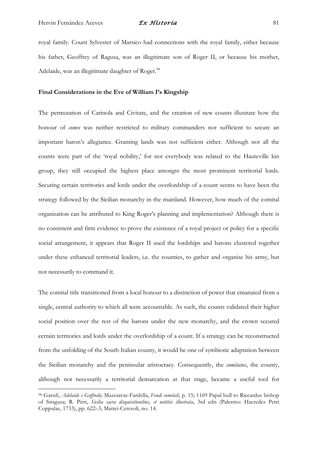royal family. Count Sylvester of Marsico had connections with the royal family, either because his father, Geoffrey of Ragusa, was an illegitimate son of Roger II, or because his mother, Adelaide, was an illegitimate daughter of Roger.<sup>98</sup>

### **Final Considerations in the Eve of William I's Kingship**

The permutation of Carinola and Civitate, and the creation of new counts illustrate how the honour of *comes* was neither restricted to military commanders nor sufficient to secure an important baron's allegiance. Granting lands was not sufficient either. Although not all the counts were part of the 'royal nobility,' for not everybody was related to the Hauteville kin group, they still occupied the highest place amongst the most prominent territorial lords. Securing certain territories and lords under the overlordship of a count seems to have been the strategy followed by the Sicilian monarchy in the mainland. However, how much of the comital organisation can be attributed to King Roger's planning and implementation? Although there is no consistent and firm evidence to prove the existence of a royal project or policy for a specific social arrangement, it appears that Roger II used the lordships and barons clustered together under these enhanced territorial leaders, i.e. the counties, to gather and organise his army, but not necessarily to command it.

The comital title transitioned from a local honour to a distinction of power that emanated from a single, central authority to which all were accountable. As such, the counts validated their higher social position over the rest of the barons under the new monarchy, and the crown secured certain territories and lords under the overlordship of a count. If a strategy can be reconstructed from the unfolding of the South-Italian county, it would be one of symbiotic adaptation between the Sicilian monarchy and the peninsular aristocracy. Consequently, the *comitatus*, the county, although not necessarily a territorial demarcation at that stage, became a useful tool for

<sup>98</sup> Garufi, *Adelaide e Goffredo;* Mazzarese-Fardella, *Feudi comitali*, p. 15; 1169 Papal bull to Riccardus bishop of Siragusa; R. Pirri, *Sicilia sacra disquisitionibus, et notitiis illustrata*, 3rd edn (Palermo: Haeredes Petri Coppulae, 1733), pp. 622–3; Mattei-Ceresoli, no. 14.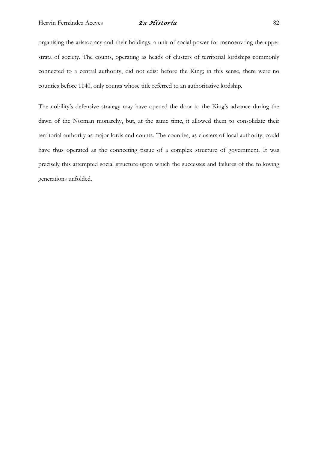organising the aristocracy and their holdings, a unit of social power for manoeuvring the upper strata of society. The counts, operating as heads of clusters of territorial lordships commonly connected to a central authority, did not exist before the King; in this sense, there were no counties before 1140, only counts whose title referred to an authoritative lordship.

The nobility's defensive strategy may have opened the door to the King's advance during the dawn of the Norman monarchy, but, at the same time, it allowed them to consolidate their territorial authority as major lords and counts. The counties, as clusters of local authority, could have thus operated as the connecting tissue of a complex structure of government. It was precisely this attempted social structure upon which the successes and failures of the following generations unfolded.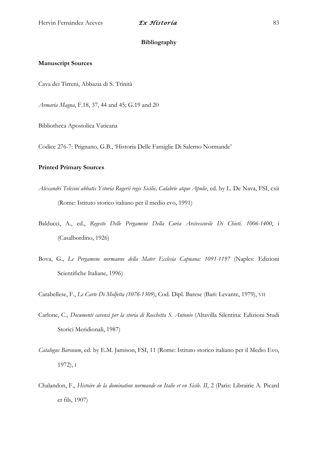### **Bibliography**

### **Manuscript Sources**

Cava dei Tirreni, Abbazia di S. Trinità

*Armaria Magna*, F.18, 37, 44 and 45; G.19 and 20

Bibliotheca Apostolica Vaticana

Codice 276-7: Prignano, G.B., 'Historia Delle Famiglie Di Salerno Normande'

### **Printed Primary Sources**

- *Alexandri Telesini abbatis Ystoria Rogerii regis Sicilie, Calabrie atque Apulie*, ed. by L. De Nava, FSI, cxii (Rome: Istituto storico italiano per il medio evo, 1991)
- Balducci, A., ed., *Regesto Delle Pergamene Della Curia Arcivescovile Di Chieti. 1006-1400*, i (Casalbordino, 1926)
- Bova, G., *Le Pergamene normanne della Mater Ecclesia Capuana: 1091-1197* (Naples: Edizioni Scientifiche Italiane, 1996)

Carabellese, F., *Le Carte Di Molfetta (1076-1309)*, Cod. Dipl. Barese (Bari: Levante, 1979), VII

- Carlone, C., *Documenti cavensi per la storia di Rocchetta S. Antonio* (Altavilla Silentina: Edizioni Studi Storici Meridionali, 1987)
- *Catalogus Baronum*, ed. by E.M. Jamison, FSI, 11 (Rome: Istituto storico italiano per il Medio Evo, 1972), I
- Chalandon, F., *Histoire de la domination normande en Italie et en Sicile. II*, 2 (Paris: Librairie A. Picard et fils, 1907)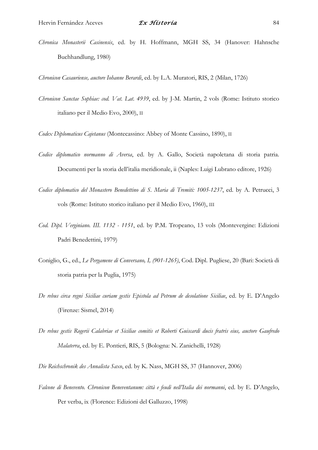*Chronica Monasterii Casinensis*, ed. by H. Hoffmann, MGH SS, 34 (Hanover: Hahnsche Buchhandlung, 1980)

*Chronicon Casauriense, auctore Iohanne Berardi*, ed. by L.A. Muratori, RIS, 2 (Milan, 1726)

- *Chronicon Sanctae Sophiae: cod. Vat. Lat. 4939*, ed. by J-M. Martin, 2 vols (Rome: Istituto storico italiano per il Medio Evo, 2000), II
- *Codex Diplomaticus Cajetanus* (Montecassino: Abbey of Monte Cassino, 1890), II
- *Codice diplomatico normanno di Aversa*, ed. by A. Gallo, Società napoletana di storia patria. Documenti per la storia dell'italia meridionale, ii (Naples: Luigi Lubrano editore, 1926)
- *Codice diplomatico del Monastero Benedettino di S. Maria di Tremiti: 1005-1237*, ed. by A. Petrucci, 3 vols (Rome: Istituto storico italiano per il Medio Evo, 1960), III
- *Cod. Dipl. Verginiano. III. 1132 - 1151*, ed. by P.M. Tropeano, 13 vols (Montevergine: Edizioni Padri Benedettini, 1979)
- Coniglio, G., ed., *Le Pergamene di Conversano, I, (901-1265)*, Cod. Dipl. Pugliese, 20 (Bari: Società di storia patria per la Puglia, 1975)
- *De rebus circa regni Siciliae curiam gestis Epistola ad Petrum de desolatione Siciliae*, ed. by E. D'Angelo (Firenze: Sismel, 2014)
- *De rebus gestis Rogerii Calabriae et Siciliae comitis et Roberti Guiscardi ducis fratris eius, auctore Gaufredo Malaterra*, ed. by E. Pontieri, RIS, 5 (Bologna: N. Zanichelli, 1928)

*Die Reichschronik des Annalista Saxo*, ed. by K. Nass, MGH SS, 37 (Hannover, 2006)

*Falcone di Benevento. Chronicon Beneventanum: città e feudi nell'Italia dei normanni*, ed. by E. D'Angelo, Per verba, ix (Florence: Edizioni del Galluzzo, 1998)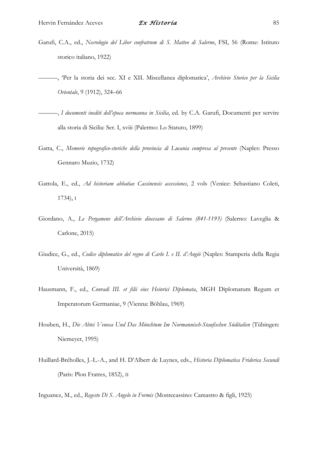- Garufi, C.A., ed., *Necrologio del Liber confratrum di S. Matteo di Salerno*, FSI, 56 (Rome: Istituto storico italiano, 1922)
- ———, 'Per la storia dei sec. XI e XII. Miscellanea diplomatica', *Archivio Storico per la Sicilia Orientale*, 9 (1912), 324–66
- ———, *I documenti inediti dell'epoca normanna in Sicilia*, ed. by C.A. Garufi, Documenti per servire alla storia di Sicilia: Ser. I, xviii (Palermo: Lo Statuto, 1899)
- Gatta, C., *Memorie topografico-storiche della provincia di Lucania compresa al presente* (Naples: Presso Gennaro Muzio, 1732)
- Gattola, E., ed., *Ad historiam abbatiae Cassinensis accessiones*, 2 vols (Venice: Sebastiano Coleti, 1734), I
- Giordano, A., *Le Pergamene dell'Archivio diocesano di Salerno (841-1193)* (Salerno: Laveglia & Carlone, 2015)
- Giudice, G., ed., *Codice diplomatico del regno di Carlo I. e II. d'Angiò* (Naples: Stamperia della Regia Università, 1869)
- Hausmann, F., ed., *Conradi III. et filii eius Heinrici Diplomata*, MGH Diplomatum Regum et Imperatorum Germaniae, 9 (Vienna: Böhlau, 1969)
- Houben, H., *Die Abtei Venosa Und Das Mönchtum Im Normannisch-Staufischen Süditalien* (Tübingen: Niemeyer, 1995)
- Huillard-Bréholles, J.-L.-A., and H. D'Albert de Luynes, eds., *Historia Diplomatica Friderica Secundi* (Paris: Plon Fratres, 1852), II

Inguanez, M., ed., *Regesto Di S. Angelo in Formis* (Montecassino: Camastro & figli, 1925)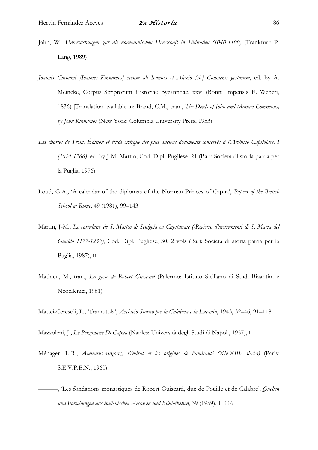- Jahn, W., *Untersuchungen zur die normannischen Herrschaft in Süditalien (1040-1100)* (Frankfurt: P. Lang, 1989)
- *Joannis Cinnami [Ioannes Kinnamos] rerum ab Ioannes et Alexio [sic] Comnenis gestarum*, ed. by A. Meineke, Corpus Scriptorum Historiae Byzantinae, xxvi (Bonn: Impensis E. Weberi, 1836) [Translation available in: Brand, C.M., tran., *The Deeds of John and Manuel Comnenus, by John Kinnamos* (New York: Columbia University Press, 1953)]
- Les chartes de Troia. Édition et étude critique des plus anciens documents conservés à l'Archivio Capitolare. I *(1024-1266)*, ed. by J-M. Martin, Cod. Dipl. Pugliese, 21 (Bari: Società di storia patria per la Puglia, 1976)
- Loud, G.A., 'A calendar of the diplomas of the Norman Princes of Capua', *Papers of the British School at Rome*, 49 (1981), 99–143
- Martin, J-M., *Le cartulaire de S. Matteo di Sculgola en Capitanate (Registro d'instrumenti di S. Maria del Gualdo 1177-1239)*, Cod. Dipl. Pugliese, 30, 2 vols (Bari: Società di storia patria per la Puglia, 1987), II
- Mathieu, M., tran., *La geste de Robert Guiscard* (Palermo: Istituto Siciliano di Studi Bizantini e Neoellenici, 1961)

Mattei-Ceresoli, L., 'Tramutola', *Archivio Storico per la Calabria e la Lucania*, 1943, 32–46, 91–118

Mazzoleni, J., *Le Pergamene Di Capua* (Naples: Università degli Studi di Napoli, 1957), I

- Ménager, L-R., *Amiratus-Άµηρας, l'émirat et les origines de l'amirauté (XIe-XIIIe siècles)* (Paris: S.E.V.P.E.N., 1960)
- ———, 'Les fondations monastiques de Robert Guiscard, duc de Pouille et de Calabre', *Quellen und Forschungen aus italienischen Archiven und Bibliotheken*, 39 (1959), 1–116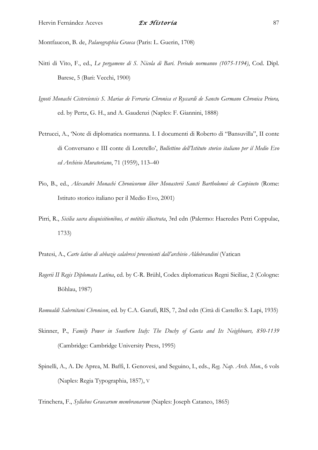Montfaucon, B. de, *Palaeographia Graeca* (Paris: L. Guerin, 1708)

- Nitti di Vito, F., ed., *Le pergamene di S. Nicola di Bari. Periodo normanno (1075-1194)*, Cod. Dipl. Barese, 5 (Bari: Vecchi, 1900)
- *Ignoti Monachi Cisterciensis S. Mariae de Ferraria Chronica et Ryccardi de Sancto Germano Chronica Priora,*  ed. by Pertz, G. H., and A. Gaudenzi (Naples: F. Giannini, 1888)
- Petrucci, A., 'Note di diplomatica normanna. I. I documenti di Roberto di "Bansuvilla", II conte di Conversano e III conte di Loretello', *Bullettino dell'Istituto storico italiano per il Medio Evo ed Archivio Muratoriano*, 71 (1959), 113–40
- Pio, B., ed., *Alexandri Monachi Chronicorum liber Monasterii Sancti Bartholomei de Carpineto* (Rome: Istituto storico italiano per il Medio Evo, 2001)
- Pirri, R., *Sicilia sacra disquisitionibus, et notitiis illustrata*, 3rd edn (Palermo: Haeredes Petri Coppulae, 1733)
- Pratesi, A., *Carte latine di abbazie calabresi provenienti dall'archivio Aldobrandini* (Vatican
- *Rogerii II Regis Diplomata Latina*, ed. by C-R. Brühl, Codex diplomaticus Regni Siciliae, 2 (Cologne: Böhlau, 1987)

*Romualdi Salernitani Chronicon*, ed. by C.A. Garufi, RIS, 7, 2nd edn (Città di Castello: S. Lapi, 1935)

- Skinner, P., *Family Power in Southern Italy: The Duchy of Gaeta and Its Neighbours, 850-1139* (Cambridge: Cambridge University Press, 1995)
- Spinelli, A., A. De Aprea, M. Baffi, I. Genovesi, and Seguino, I., eds., *Reg. Nap. Arch. Mon.*, 6 vols (Naples: Regia Typographia, 1857), V

Trinchera, F., *Syllabus Graecarum membranarum* (Naples: Joseph Cataneo, 1865)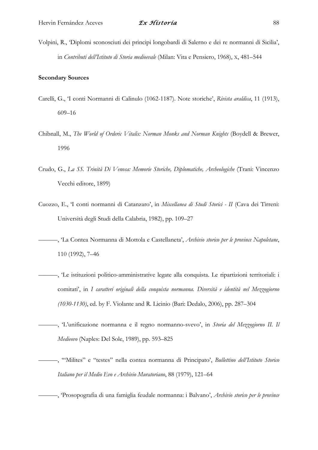Volpini, R., 'Diplomi sconosciuti dei principi longobardi di Salerno e dei re normanni di Sicilia', in *Contributi dell'Istituto di Storia medioevale* (Milan: Vita e Pensiero, 1968), X, 481–544

### **Secondary Sources**

- Carelli, G., 'I conti Normanni di Calinulo (1062-1187). Note storiche', *Rivista araldica*, 11 (1913), 609–16
- Chibnall, M., *The World of Orderic Vitalis: Norman Monks and Norman Knights* (Boydell & Brewer, 1996
- Crudo, G., *La SS. Trinità Di Venosa: Memorie Storiche, Diplomatiche, Archeologiche* (Trani: Vincenzo Vecchi editore, 1899)
- Cuozzo, E., 'I conti normanni di Catanzaro', in *Miscellanea di Studi Storici - II* (Cava dei Tirreni: Università degli Studi della Calabria, 1982), pp. 109–27
- ———, 'La Contea Normanna di Mottola e Castellaneta', *Archivio storico per le province Napoletane*, 110 (1992), 7–46
- ———, 'Le istituzioni politico-amministrative legate alla conquista. Le ripartizioni territoriali: i comitati', in *I caratteri originali della conquista normanna. Diversità e identità nel Mezzogiorno (1030-1130)*, ed. by F. Violante and R. Licinio (Bari: Dedalo, 2006), pp. 287–304
- ———, 'L'unificazione normanna e il regno normanno-svevo', in *Storia del Mezzogiorno II. Il Medieovo* (Naples: Del Sole, 1989), pp. 593–825
	- ———, '"Milites" e "testes" nella contea normanna di Principato', *Bullettino dell'Istituto Storico Italiano per il Medio Evo e Archivio Muratoriano*, 88 (1979), 121–64
		- ———, 'Prosopografia di una famiglia feudale normanna: i Balvano', *Archivio storico per le province*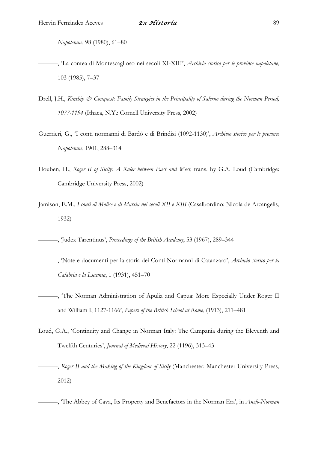*Napoletane*, 98 (1980), 61–80

- ———, 'La contea di Montescaglioso nei secoli XI-XIII', *Archivio storico per le province napoletane*, 103 (1985), 7–37
- Drell, J.H., *Kinship & Conquest: Family Strategies in the Principality of Salerno during the Norman Period*, *1077-1194* (Ithaca, N.Y.: Cornell University Press, 2002)
- Guerrieri, G., 'I conti normanni di Bardò e di Brindisi (1092-1130)', *Archivio storico per le province Napoletane*, 1901, 288–314
- Houben, H., *Roger II of Sicily: A Ruler between East and West*, trans. by G.A. Loud (Cambridge: Cambridge University Press, 2002)
- Jamison, E.M., *I conti di Molise e di Marsia nei secoli XII e XIII* (Casalbordino: Nicola de Arcangelis, 1932)
	- ———, 'Judex Tarentinus', *Proceedings of the British Academy*, 53 (1967), 289–344
- ———, 'Note e documenti per la storia dei Conti Normanni di Catanzaro', *Archivio storico per la Calabria e la Lucania*, 1 (1931), 451–70
- ———, 'The Norman Administration of Apulia and Capua: More Especially Under Roger II and William I, 1127-1166', *Papers of the British School at Rome*, (1913), 211–481
- Loud, G.A., 'Continuity and Change in Norman Italy: The Campania during the Eleventh and Twelfth Centuries', *Journal of Medieval History*, 22 (1196), 313–43
- ———, *Roger II and the Making of the Kingdom of Sicily* (Manchester: Manchester University Press, 2012)
	- ———, 'The Abbey of Cava, Its Property and Benefactors in the Norman Era', in *Anglo-Norman*